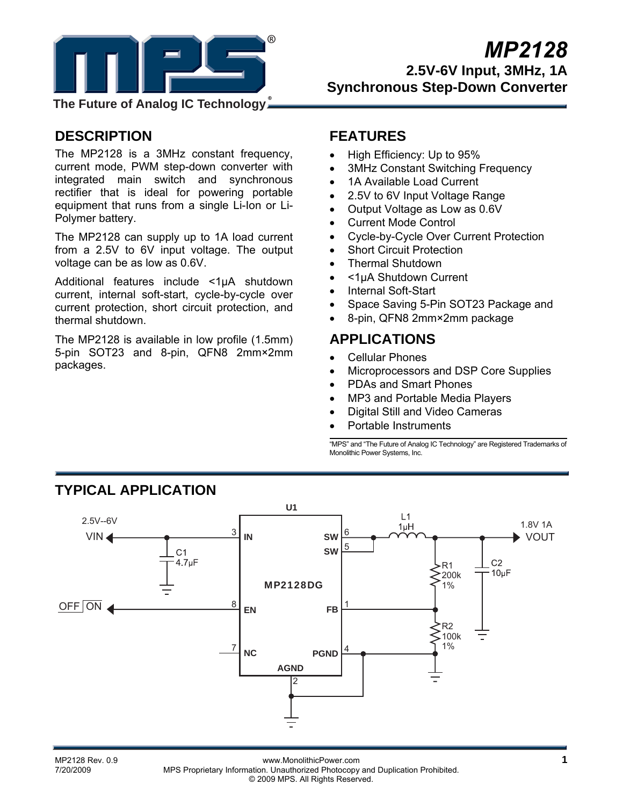

**The Future of Analog IC Technology**

# **DESCRIPTION**

The MP2128 is a 3MHz constant frequency, current mode, PWM step-down converter with integrated main switch and synchronous rectifier that is ideal for powering portable equipment that runs from a single Li-Ion or Li-Polymer battery.

The MP2128 can supply up to 1A load current from a 2.5V to 6V input voltage. The output voltage can be as low as 0.6V.

Additional features include <1µA shutdown current, internal soft-start, cycle-by-cycle over current protection, short circuit protection, and thermal shutdown.

The MP2128 is available in low profile (1.5mm) 5-pin SOT23 and 8-pin, QFN8 2mm×2mm packages.

## **FEATURES**

- High Efficiency: Up to 95%
- 3MHz Constant Switching Frequency
- 1A Available Load Current
- 2.5V to 6V Input Voltage Range
- Output Voltage as Low as 0.6V
- Current Mode Control
- Cycle-by-Cycle Over Current Protection
- Short Circuit Protection
- Thermal Shutdown
- <1µA Shutdown Current
- Internal Soft-Start
- Space Saving 5-Pin SOT23 Package and
- 8-pin, QFN8 2mm×2mm package

# **APPLICATIONS**

- Cellular Phones
- Microprocessors and DSP Core Supplies
- PDAs and Smart Phones
- MP3 and Portable Media Players
- Digital Still and Video Cameras
- Portable Instruments

"MPS" and "The Future of Analog IC Technology" are Registered Trademarks of Monolithic Power Systems, Inc.



# **TYPICAL APPLICATION**

MP2128 Rev. 0.9 **11 MP2128 Rev. 0.9** www.MonolithicPower.com<br>**1** T/20/2009 MPS Proprietary Information Unauthorized Photocopy and Duplication Probibited MPS Proprietary Information. Unauthorized Photocopy and Duplication Prohibited. © 2009 MPS. All Rights Reserved.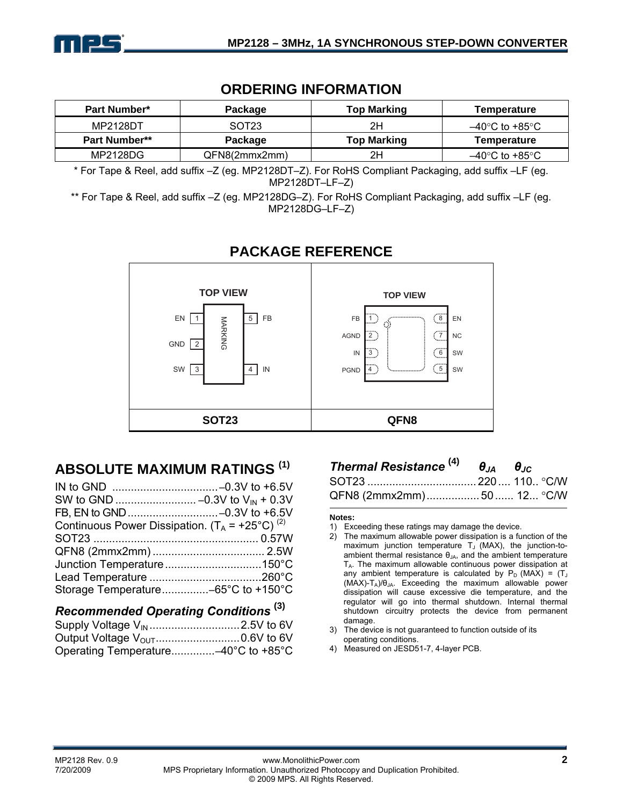

## **ORDERING INFORMATION**

| <b>Part Number*</b>  | Package           | <b>Top Marking</b> | Temperature    |
|----------------------|-------------------|--------------------|----------------|
| MP2128DT             | SOT <sub>23</sub> | 2Η                 | –40°C to +85°C |
| <b>Part Number**</b> | Package           | <b>Top Marking</b> | Temperature    |
| MP2128DG             | QFN8(2mmx2mm)     | 2Η                 | –40°C to +85°C |

\* For Tape & Reel, add suffix –Z (eg. MP2128DT–Z). For RoHS Compliant Packaging, add suffix –LF (eg. MP2128DT–LF–Z)

\*\* For Tape & Reel, add suffix –Z (eg. MP2128DG–Z). For RoHS Compliant Packaging, add suffix –LF (eg. MP2128DG–LF–Z)



## **PACKAGE REFERENCE**

# **ABSOLUTE MAXIMUM RATINGS (1)**

| Continuous Power Dissipation. $(T_A = +25^{\circ}C)^{(2)}$ |  |
|------------------------------------------------------------|--|
|                                                            |  |
|                                                            |  |
|                                                            |  |
|                                                            |  |
| Storage Temperature-65°C to +150°C                         |  |
|                                                            |  |

## *Recommended Operating Conditions* **(3)** Supply Voltage VIN .............................2.5V to 6V Output Voltage VOUT...........................0.6V to 6V Operating Temperature..............–40°C to +85°C

| Thermal Resistance $^{(4)}$ $\theta_{IA}$ $\theta_{IC}$ |  |
|---------------------------------------------------------|--|
|                                                         |  |
| QFN8 (2mmx2mm)50 12 °C/W                                |  |

#### **Notes:**

- 1) Exceeding these ratings may damage the device.
- 2) The maximum allowable power dissipation is a function of the maximum junction temperature  $T_J$  (MAX), the junction-toambient thermal resistance  $\theta_{JA}$ , and the ambient temperature  $T_A$ . The maximum allowable continuous power dissipation at any ambient temperature is calculated by  $P_D$  (MAX) = (T<sub>J</sub>  $(MAX)-T_A)/\theta_{JA}$ . Exceeding the maximum allowable power dissipation will cause excessive die temperature, and the regulator will go into thermal shutdown. Internal thermal shutdown circuitry protects the device from permanent damage.
- 3) The device is not guaranteed to function outside of its operating conditions.
- 4) Measured on JESD51-7, 4-layer PCB.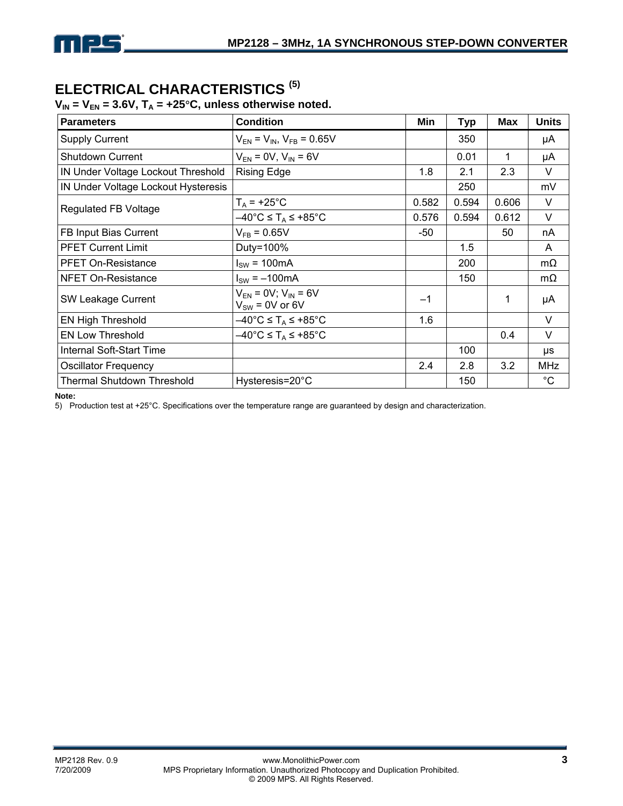# **ELECTRICAL CHARACTERISTICS (5)**

## $V_{IN} = V_{EN} = 3.6V$ ,  $T_A = +25^{\circ}C$ , unless otherwise noted.

| <b>Parameters</b>                   | <b>Condition</b>                                              | Min   | Typ   | Max   | <b>Units</b> |
|-------------------------------------|---------------------------------------------------------------|-------|-------|-------|--------------|
| <b>Supply Current</b>               | $V_{EN}$ = $V_{IN}$ , $V_{FB}$ = 0.65V                        |       | 350   |       | μA           |
| <b>Shutdown Current</b>             | $V_{EN} = 0V$ , $V_{IN} = 6V$                                 |       | 0.01  | 1     | μA           |
| IN Under Voltage Lockout Threshold  | <b>Rising Edge</b>                                            | 1.8   | 2.1   | 2.3   | V            |
| IN Under Voltage Lockout Hysteresis |                                                               |       | 250   |       | mV           |
| <b>Regulated FB Voltage</b>         | $T_A$ = +25°C                                                 | 0.582 | 0.594 | 0.606 | $\vee$       |
|                                     | $-40^{\circ}$ C $\leq$ T <sub>A</sub> $\leq$ +85 $^{\circ}$ C | 0.576 | 0.594 | 0.612 | V            |
| FB Input Bias Current               | $V_{FR} = 0.65V$                                              | -50   |       | 50    | nA           |
| <b>PFET Current Limit</b>           | Duty=100%                                                     |       | 1.5   |       | A            |
| <b>PFET On-Resistance</b>           | $I_{SW}$ = 100mA                                              |       | 200   |       | $m\Omega$    |
| <b>NFET On-Resistance</b>           | $I_{SW} = -100mA$                                             |       | 150   |       | $m\Omega$    |
| SW Leakage Current                  | $V_{FN} = 0V$ ; $V_{IN} = 6V$<br>$V_{SW}$ = 0V or 6V          | -1    |       | 1     | μA           |
| <b>EN High Threshold</b>            | $-40^{\circ}$ C $\leq$ T <sub>A</sub> $\leq$ +85 $^{\circ}$ C | 1.6   |       |       | V            |
| <b>EN Low Threshold</b>             | $-40^{\circ}$ C $\leq$ T <sub>A</sub> $\leq$ +85 $^{\circ}$ C |       |       | 0.4   | V            |
| Internal Soft-Start Time            |                                                               |       | 100   |       | μs           |
| <b>Oscillator Frequency</b>         |                                                               | 2.4   | 2.8   | 3.2   | MHz          |
| <b>Thermal Shutdown Threshold</b>   | Hysteresis=20°C                                               |       | 150   |       | $^{\circ}C$  |

**Note:** 

5) Production test at +25°C. Specifications over the temperature range are guaranteed by design and characterization.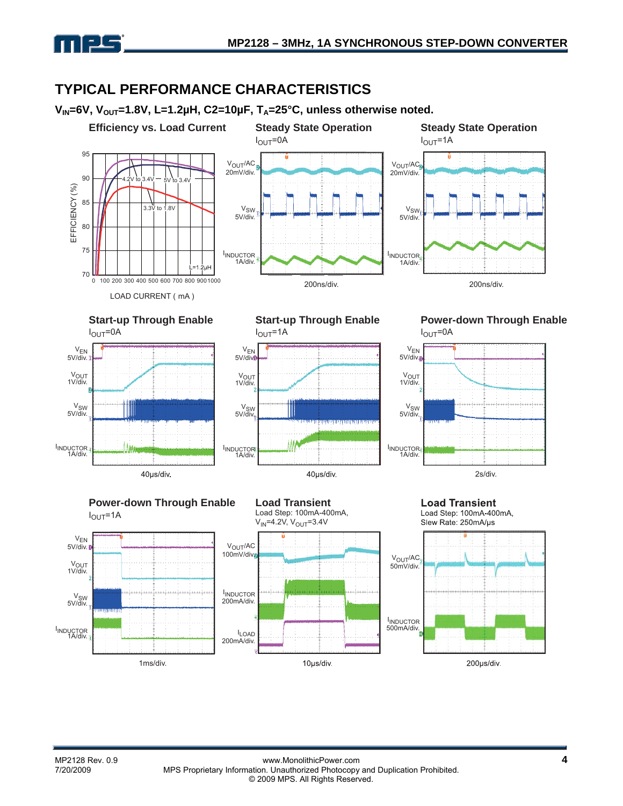

# **TYPICAL PERFORMANCE CHARACTERISTICS**

V<sub>IN</sub>=6V, V<sub>OUT</sub>=1.8V, L=1.2µH, C2=10µF, T<sub>A</sub>=25°C, unless otherwise noted.

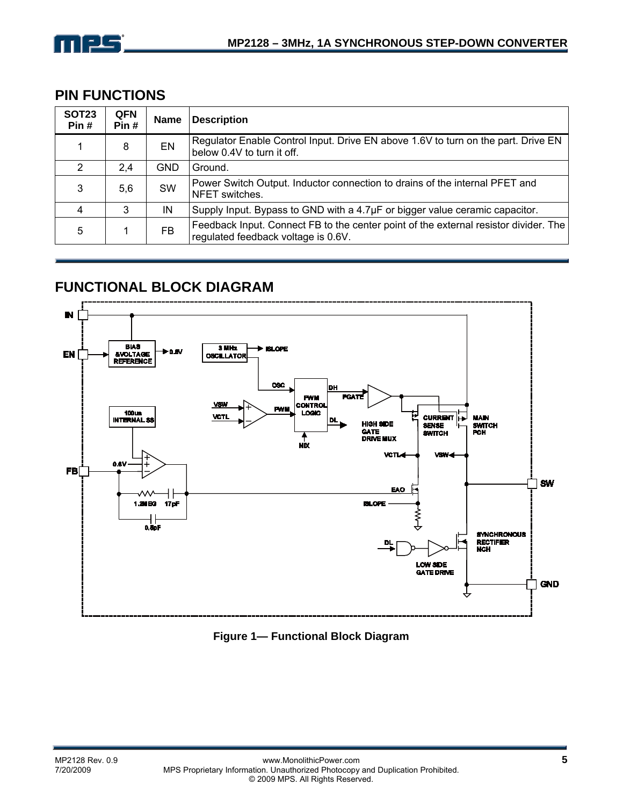

# **PIN FUNCTIONS**

| <b>SOT23</b><br>Pin# | <b>QFN</b><br>Pin# | <b>Name</b> | <b>Description</b>                                                                                                          |
|----------------------|--------------------|-------------|-----------------------------------------------------------------------------------------------------------------------------|
|                      | 8                  | EN          | Regulator Enable Control Input. Drive EN above 1.6V to turn on the part. Drive EN<br>below 0.4V to turn it off.             |
| 2                    | 2.4                | <b>GND</b>  | Ground.                                                                                                                     |
| 3                    | 5,6                | <b>SW</b>   | Power Switch Output. Inductor connection to drains of the internal PFET and<br>NFET switches.                               |
| 4                    | 3                  | IN          | Supply Input. Bypass to GND with a $4.7\mu$ F or bigger value ceramic capacitor.                                            |
| 5                    |                    | <b>FB</b>   | Feedback Input. Connect FB to the center point of the external resistor divider. The<br>regulated feedback voltage is 0.6V. |

# **FUNCTIONAL BLOCK DIAGRAM**



**Figure 1— Functional Block Diagram**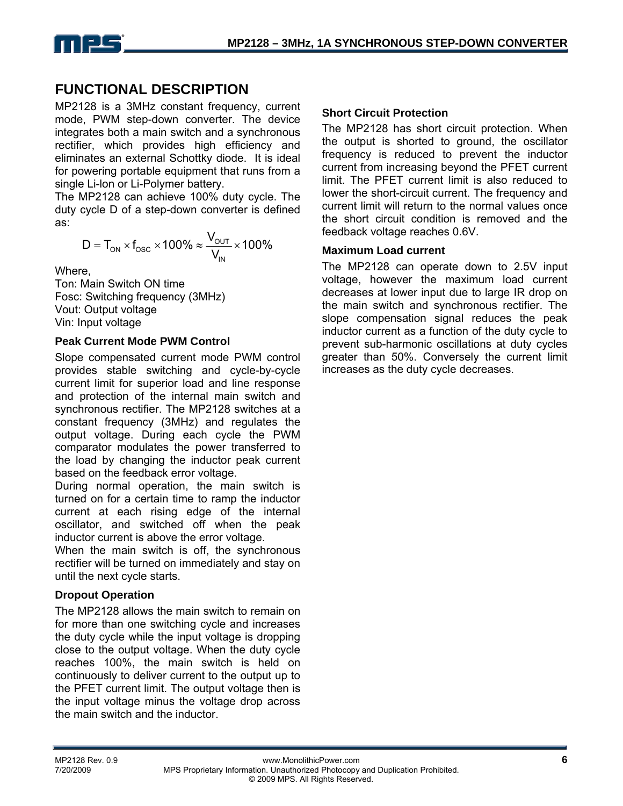

## **FUNCTIONAL DESCRIPTION**

MP2128 is a 3MHz constant frequency, current mode, PWM step-down converter. The device integrates both a main switch and a synchronous rectifier, which provides high efficiency and eliminates an external Schottky diode. It is ideal for powering portable equipment that runs from a single Li-lon or Li-Polymer battery.

The MP2128 can achieve 100% duty cycle. The duty cycle D of a step-down converter is defined as:

$$
D = T_{on} \times f_{osc} \times 100\% \approx \frac{V_{out}}{V_{in}} \times 100\%
$$

Where,

Ton: Main Switch ON time Fosc: Switching frequency (3MHz) Vout: Output voltage Vin: Input voltage

## **Peak Current Mode PWM Control**

Slope compensated current mode PWM control provides stable switching and cycle-by-cycle current limit for superior load and line response and protection of the internal main switch and synchronous rectifier. The MP2128 switches at a constant frequency (3MHz) and regulates the output voltage. During each cycle the PWM comparator modulates the power transferred to the load by changing the inductor peak current based on the feedback error voltage.

During normal operation, the main switch is turned on for a certain time to ramp the inductor current at each rising edge of the internal oscillator, and switched off when the peak inductor current is above the error voltage.

When the main switch is off, the synchronous rectifier will be turned on immediately and stay on until the next cycle starts.

## **Dropout Operation**

The MP2128 allows the main switch to remain on for more than one switching cycle and increases the duty cycle while the input voltage is dropping close to the output voltage. When the duty cycle reaches 100%, the main switch is held on continuously to deliver current to the output up to the PFET current limit. The output voltage then is the input voltage minus the voltage drop across the main switch and the inductor.

## **Short Circuit Protection**

The MP2128 has short circuit protection. When the output is shorted to ground, the oscillator frequency is reduced to prevent the inductor current from increasing beyond the PFET current limit. The PFET current limit is also reduced to lower the short-circuit current. The frequency and current limit will return to the normal values once the short circuit condition is removed and the feedback voltage reaches 0.6V.

## **Maximum Load current**

The MP2128 can operate down to 2.5V input voltage, however the maximum load current decreases at lower input due to large IR drop on the main switch and synchronous rectifier. The slope compensation signal reduces the peak inductor current as a function of the duty cycle to prevent sub-harmonic oscillations at duty cycles greater than 50%. Conversely the current limit increases as the duty cycle decreases.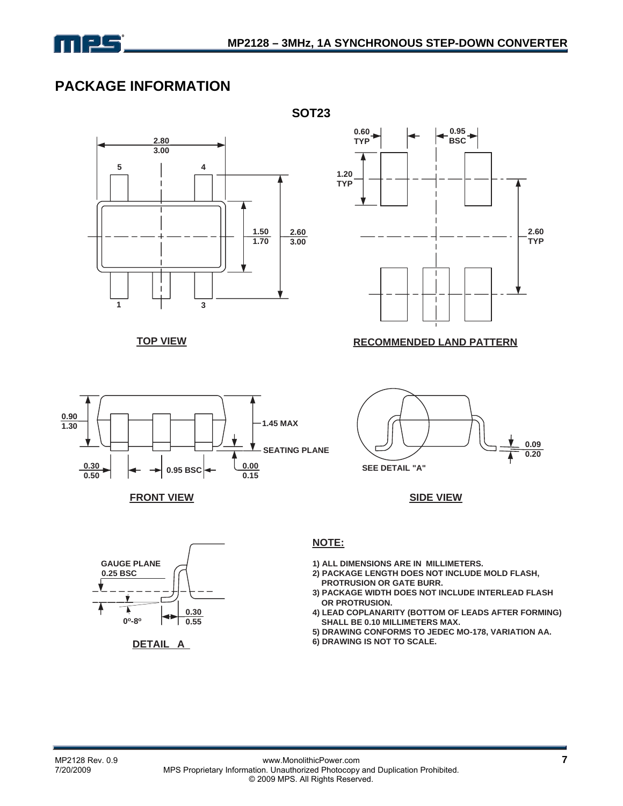

# **PACKAGE INFORMATION**



**TOP VIEW**



**FRONT VIEW SIDE VIEW**



**DETAIL A**



#### **RECOMMENDED LAND PATTERN**



**NOTE:**

- **1) ALL DIMENSIONS ARE IN MILLIMETERS.**
- **2) PACKAGE LENGTH DOES NOT INCLUDE MOLD FLASH, PROTRUSION OR GATE BURR.**
- **3) PACKAGE WIDTH DOES NOT INCLUDE INTERLEAD FLASH OR PROTRUSION.**
- **4) LEAD COPLANARITY (BOTTOM OF LEADS AFTER FORMING) SHALL BE 0.10 MILLIMETERS MAX.**
- **5) DRAWING CONFORMS TO JEDEC MO-178, VARIATION AA.**
- **6) DRAWING IS NOT TO SCALE.**